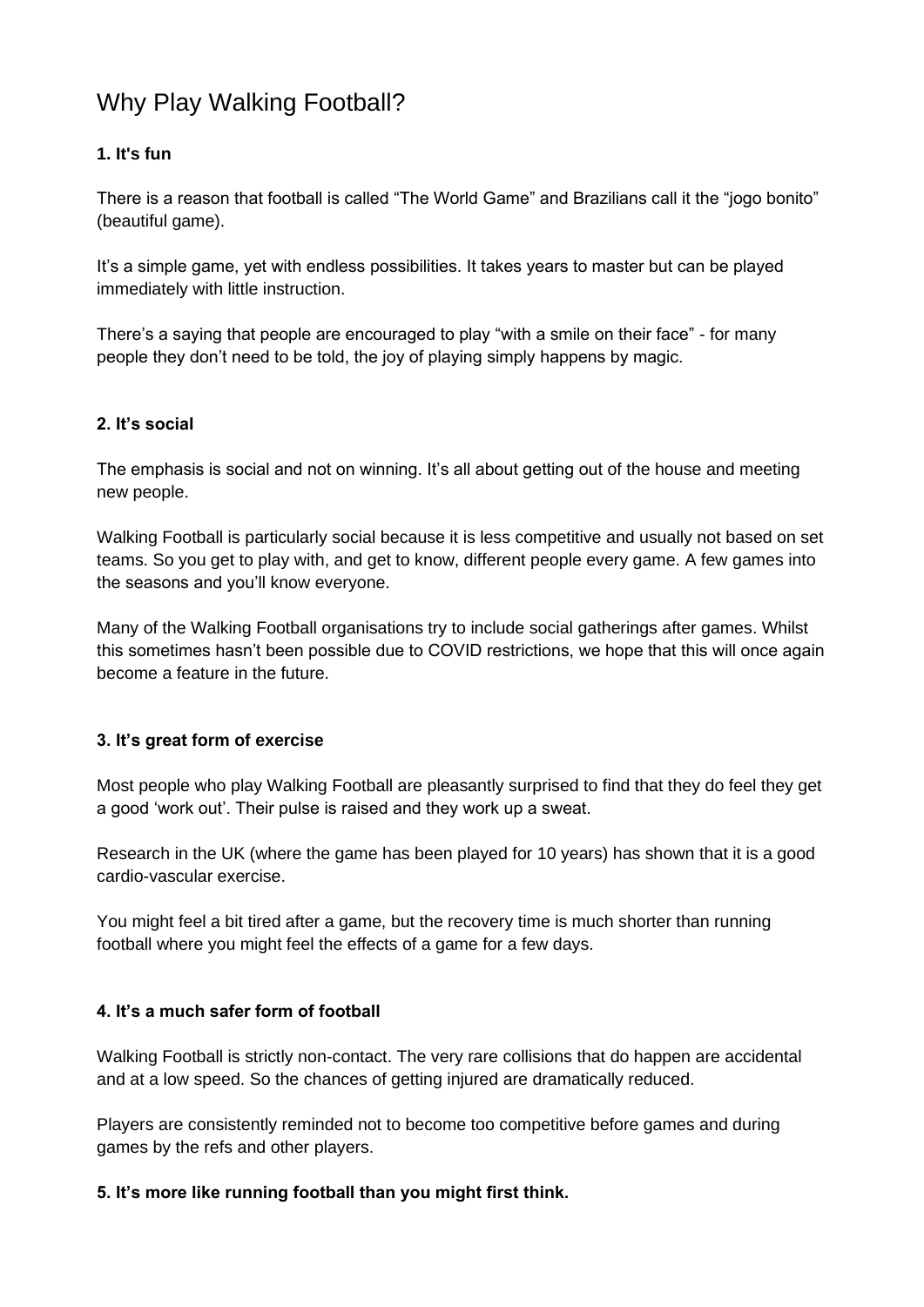# Why Play Walking Football?

# **1. It's fun**

There is a reason that football is called "The World Game" and Brazilians call it the "jogo bonito" (beautiful game).

It's a simple game, yet with endless possibilities. It takes years to master but can be played immediately with little instruction.

There's a saying that people are encouraged to play "with a smile on their face" - for many people they don't need to be told, the joy of playing simply happens by magic.

# **2. It's social**

The emphasis is social and not on winning. It's all about getting out of the house and meeting new people.

Walking Football is particularly social because it is less competitive and usually not based on set teams. So you get to play with, and get to know, different people every game. A few games into the seasons and you'll know everyone.

Many of the Walking Football organisations try to include social gatherings after games. Whilst this sometimes hasn't been possible due to COVID restrictions, we hope that this will once again become a feature in the future.

# **3. It's great form of exercise**

Most people who play Walking Football are pleasantly surprised to find that they do feel they get a good 'work out'. Their pulse is raised and they work up a sweat.

Research in the UK (where the game has been played for 10 years) has shown that it is a good cardio-vascular exercise.

You might feel a bit tired after a game, but the recovery time is much shorter than running football where you might feel the effects of a game for a few days.

### **4. It's a much safer form of football**

Walking Football is strictly non-contact. The very rare collisions that do happen are accidental and at a low speed. So the chances of getting injured are dramatically reduced.

Players are consistently reminded not to become too competitive before games and during games by the refs and other players.

### **5. It's more like running football than you might first think.**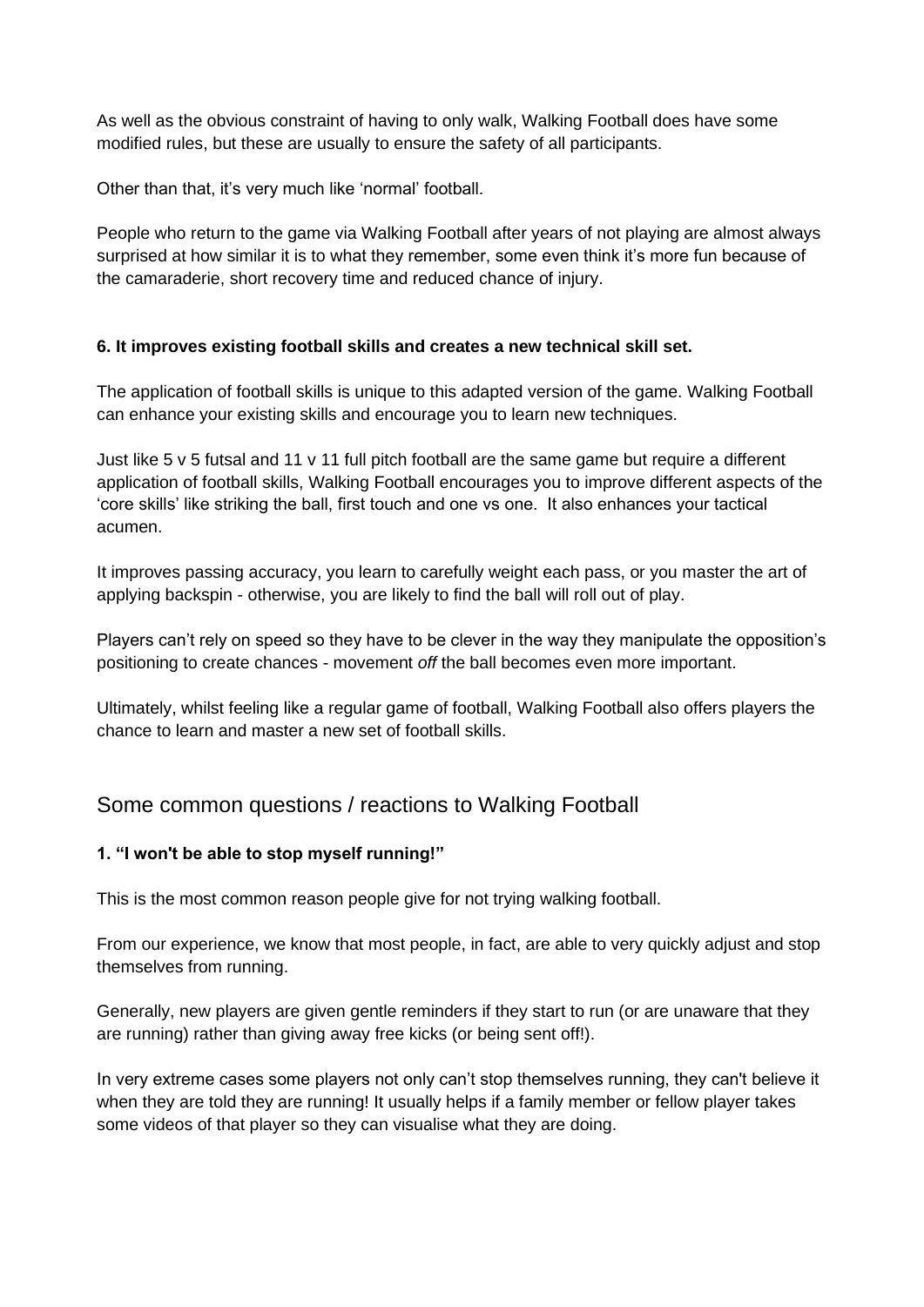As well as the obvious constraint of having to only walk, Walking Football does have some modified rules, but these are usually to ensure the safety of all participants.

Other than that, it's very much like 'normal' football.

People who return to the game via Walking Football after years of not playing are almost always surprised at how similar it is to what they remember, some even think it's more fun because of the camaraderie, short recovery time and reduced chance of injury.

### **6. It improves existing football skills and creates a new technical skill set.**

The application of football skills is unique to this adapted version of the game. Walking Football can enhance your existing skills and encourage you to learn new techniques.

Just like 5  $v$  5 futsal and 11  $v$  11 full pitch football are the same game but require a different application of football skills, Walking Football encourages you to improve different aspects of the 'core skills' like striking the ball, first touch and one vs one. It also enhances your tactical acumen.

It improves passing accuracy, you learn to carefully weight each pass, or you master the art of applying backspin - otherwise, you are likely to find the ball will roll out of play.

Players can't rely on speed so they have to be clever in the way they manipulate the opposition's positioning to create chances - movement *off* the ball becomes even more important.

Ultimately, whilst feeling like a regular game of football, Walking Football also offers players the chance to learn and master a new set of football skills.

# Some common questions / reactions to Walking Football

### **1. "I won't be able to stop myself running!"**

This is the most common reason people give for not trying walking football.

From our experience, we know that most people, in fact, are able to very quickly adjust and stop themselves from running.

Generally, new players are given gentle reminders if they start to run (or are unaware that they are running) rather than giving away free kicks (or being sent off!).

In very extreme cases some players not only can't stop themselves running, they can't believe it when they are told they are running! It usually helps if a family member or fellow player takes some videos of that player so they can visualise what they are doing.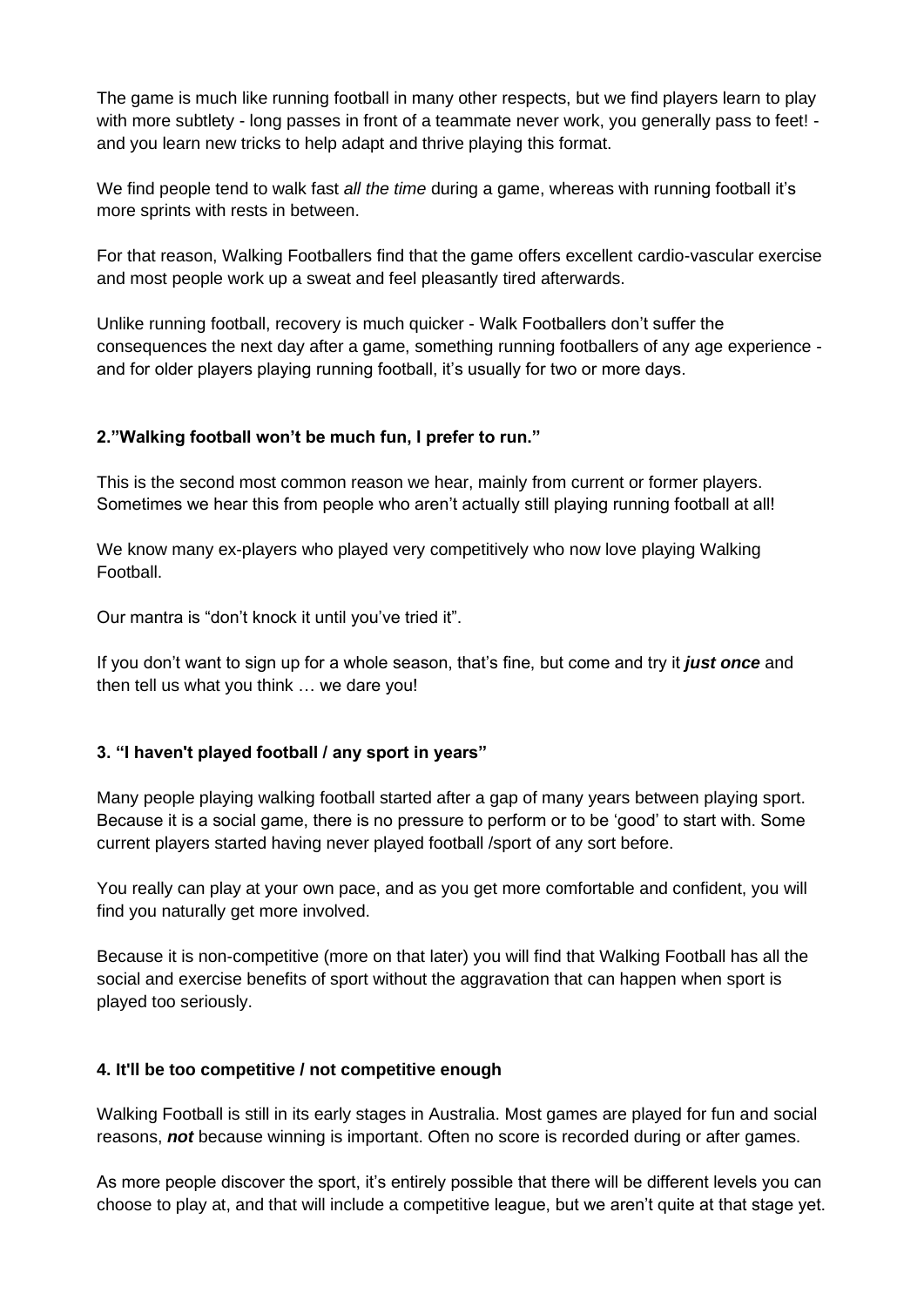The game is much like running football in many other respects, but we find players learn to play with more subtlety - long passes in front of a teammate never work, you generally pass to feet! and you learn new tricks to help adapt and thrive playing this format.

We find people tend to walk fast *all the time* during a game, whereas with running football it's more sprints with rests in between.

For that reason, Walking Footballers find that the game offers excellent cardio-vascular exercise and most people work up a sweat and feel pleasantly tired afterwards.

Unlike running football, recovery is much quicker - Walk Footballers don't suffer the consequences the next day after a game, something running footballers of any age experience and for older players playing running football, it's usually for two or more days.

# **2."Walking football won't be much fun, I prefer to run."**

This is the second most common reason we hear, mainly from current or former players. Sometimes we hear this from people who aren't actually still playing running football at all!

We know many ex-players who played very competitively who now love playing Walking Football.

Our mantra is "don't knock it until you've tried it".

If you don't want to sign up for a whole season, that's fine, but come and try it *just once* and then tell us what you think … we dare you!

# **3. "I haven't played football / any sport in years"**

Many people playing walking football started after a gap of many years between playing sport. Because it is a social game, there is no pressure to perform or to be 'good' to start with. Some current players started having never played football /sport of any sort before.

You really can play at your own pace, and as you get more comfortable and confident, you will find you naturally get more involved.

Because it is non-competitive (more on that later) you will find that Walking Football has all the social and exercise benefits of sport without the aggravation that can happen when sport is played too seriously.

# **4. It'll be too competitive / not competitive enough**

Walking Football is still in its early stages in Australia. Most games are played for fun and social reasons, *not* because winning is important. Often no score is recorded during or after games.

As more people discover the sport, it's entirely possible that there will be different levels you can choose to play at, and that will include a competitive league, but we aren't quite at that stage yet.